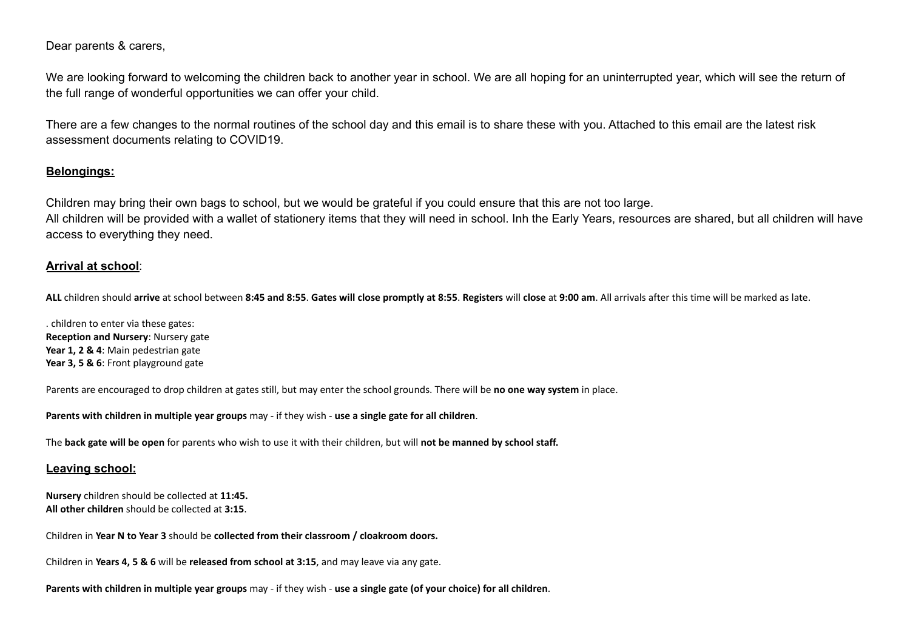Dear parents & carers,

We are looking forward to welcoming the children back to another year in school. We are all hoping for an uninterrupted year, which will see the return of the full range of wonderful opportunities we can offer your child.

There are a few changes to the normal routines of the school day and this email is to share these with you. Attached to this email are the latest risk assessment documents relating to COVID19.

## **Belongings:**

Children may bring their own bags to school, but we would be grateful if you could ensure that this are not too large. All children will be provided with a wallet of stationery items that they will need in school. Inh the Early Years, resources are shared, but all children will have access to everything they need.

## **Arrival at school**:

ALL children should arrive at school between 8:45 and 8:55. Gates will close promptly at 8:55. Registers will close at 9:00 am. All arrivals after this time will be marked as late.

. children to enter via these gates: **Reception and Nursery**: Nursery gate **Year 1, 2 & 4**: Main pedestrian gate **Year 3, 5 & 6**: Front playground gate

Parents are encouraged to drop children at gates still, but may enter the school grounds. There will be **no one way system** in place.

**Parents with children in multiple year groups** may - if they wish - **use a single gate for all children**.

The **back gate will be open** for parents who wish to use it with their children, but will **not be manned by school staff.**

### **Leaving school:**

**Nursery** children should be collected at **11:45. All other children** should be collected at **3:15**.

Children in **Year N to Year 3** should be **collected from their classroom / cloakroom doors.**

Children in **Years 4, 5 & 6** will be **released from school at 3:15**, and may leave via any gate.

Parents with children in multiple year groups may - if they wish - use a single gate (of your choice) for all children.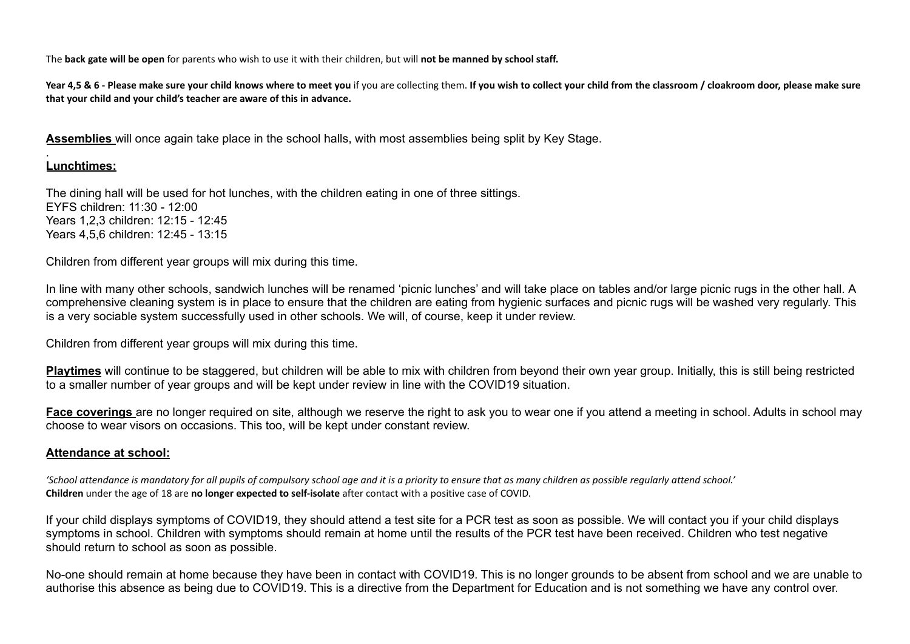The **back gate will be open** for parents who wish to use it with their children, but will **not be manned by school staff.**

Year 4,5 & 6 - Please make sure your child knows where to meet you if you are collecting them. If you wish to collect your child from the classroom / cloakroom door, please make sure **that your child and your child's teacher are aware of this in advance.**

**Assemblies** will once again take place in the school halls, with most assemblies being split by Key Stage.

#### . **Lunchtimes:**

The dining hall will be used for hot lunches, with the children eating in one of three sittings. EYFS children: 11:30 - 12:00 Years 1,2,3 children: 12:15 - 12:45 Years 4,5,6 children: 12:45 - 13:15

Children from different year groups will mix during this time.

In line with many other schools, sandwich lunches will be renamed 'picnic lunches' and will take place on tables and/or large picnic rugs in the other hall. A comprehensive cleaning system is in place to ensure that the children are eating from hygienic surfaces and picnic rugs will be washed very regularly. This is a very sociable system successfully used in other schools. We will, of course, keep it under review.

Children from different year groups will mix during this time.

**Playtimes** will continue to be staggered, but children will be able to mix with children from beyond their own year group. Initially, this is still being restricted to a smaller number of year groups and will be kept under review in line with the COVID19 situation.

**Face coverings** are no longer required on site, although we reserve the right to ask you to wear one if you attend a meeting in school. Adults in school may choose to wear visors on occasions. This too, will be kept under constant review.

## **Attendance at school:**

'School attendance is mandatory for all pupils of compulsory school age and it is a priority to ensure that as many children as possible regularly attend school.' **Children** under the age of 18 are **no longer expected to self-isolate** after contact with a positive case of COVID.

If your child displays symptoms of COVID19, they should attend a test site for a PCR test as soon as possible. We will contact you if your child displays symptoms in school. Children with symptoms should remain at home until the results of the PCR test have been received. Children who test negative should return to school as soon as possible.

No-one should remain at home because they have been in contact with COVID19. This is no longer grounds to be absent from school and we are unable to authorise this absence as being due to COVID19. This is a directive from the Department for Education and is not something we have any control over.